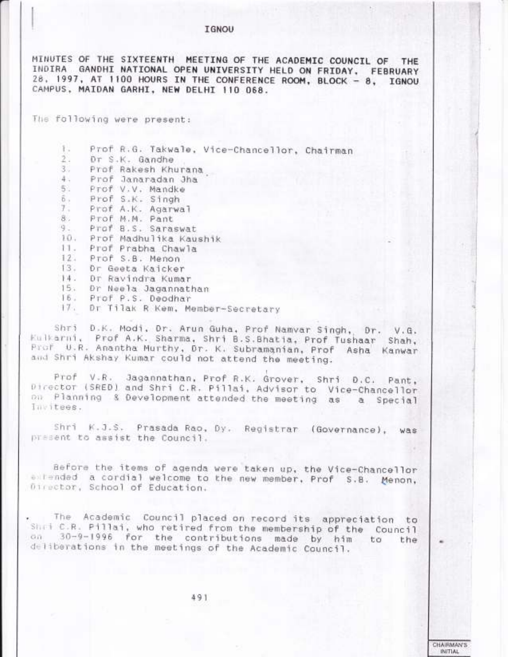# **IGNOU**

MINUTES OF THE SIXTEENTH MEETING OF THE ACADEMIC COUNCIL OF THE INDIRA GANDHI NATIONAL OPEN UNIVERSITY HELD ON FRIDAY, FEBRUARY 28. 1997, AT 1100 HOURS IN THE CONFERENCE ROOM, BLOCK - 8, IGNOU CAMPUS, MAIDAN GARHI, NEW DELHI 110 068.

The following were present:

Prof R.G. Takwale, Vice-Chancellor, Chairman 1.  $2.1$ Dr S.K. Gandhe 3. Prof Rakesh Khurana Prof Janaradan Jha  $4.1$ Prof V.V. Mandke 5.  $\tilde{\mathfrak{d}}$ . Prof S.K. Singh 7. Prof A.K. Agarwal Prof M.M. Pant 8. 9.

- Prof B.S. Saraswat
- 10. Prof Madhulika Kaushik
- 11. Prof Prabha Chawla
- 12. Prof S.B. Menon
- 13. Dr Geeta Kaicker
- 14. Dr Ravindra Kumar
- 15. Dr Neela Jagannathan
- 16. Prof P.S. Deodhar
- 17. Dr Tilak R Kem, Member-Secretary

Shri D.K. Modi, Dr. Arun Guha, Prof Namyar Singh, Dr. V.G. Eulkarni, Prof A.K. Sharma, Shri B.S.Bhatia, Prof Tushaar Shah, Prof U.R. Anantha Murthy, Dr. K. Subramanian, Prof Asha Kanwar and Shri Akshay Kumar could not attend the meeting.

Prof V.R. Jagannathan, Prof R.K. Grover, Shri D.C. Pant, Director (SRED) and Shri C.R. Pillai, Advisor to Vice-Chancellor on Planning & Development attended the meeting as a Special Invitees.

Shri K.J.S. Prasada Rao, Dy. Registrar (Governance), was present to assist the Council.

Before the items of agenda were taken up, the Vice-Chancellor entended a cordial welcome to the new member, Prof S.B. Menon, Director, School of Education.

The Academic Council placed on record its appreciation to Shot C.R. Pillai, who retired from the membership of the Council on 30-9-1996 for the contributions made by him to the deliberations in the meetings of the Academic Council.

> **CHAIRMAN'S** INITIAL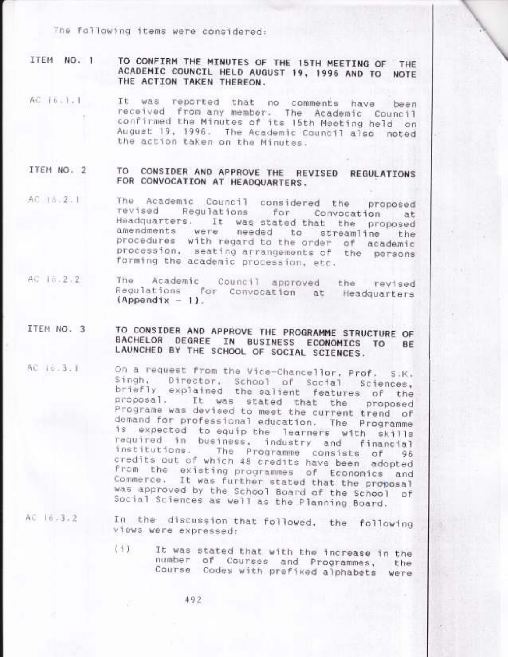The following items were considered:

ITEM NO. 1 TO CONFIRM THE MINUTES OF THE 15TH MEETING OF THE ACADEMIC COUNCIL HELD AUGUST 19, 1996 AND TO NOTE THE ACTION TAKEN THEREON.

- AC 16.1.1 It was reported that no comments have been received from any member. The Academic Council confirmed the Minutes of its 15th Meeting held on August 19, 1996. The Academic Council also noted the action taken on the Minutes.
- ITEM NO. 2 TO CONSIDER AND APPROVE THE REVISED REGULATIONS FOR CONVOCATION AT HEADQUARTERS.
- The Academic Council considered the proposed AC 16.2.1 revised Regulations for Convocation at Headquarters. It was stated that the proposed amendments were needed to streamline the procedures with regard to the order of academic procession, seating arrangements of the persons forming the academic procession, etc.
- AC 16.2.2 The Academic Council approved the revised Regulations for Convocation at Headquarters  $(Appendix - 1)$ .
- TO CONSIDER AND APPROVE THE PROGRAMME STRUCTURE OF ITEM NO. 3 BACHELOR DEGREE IN BUSINESS ECONOMICS TO **BE** LAUNCHED BY THE SCHOOL OF SOCIAL SCIENCES.
- On a request from the Vice-Chancellor, Prof. AC 16.3.1  $S.K.$ Singh, Director, School of Social Sciences, briefly explained the salient features of the proposal. It was stated that the proposed Programe was devised to meet the current trend of demand for professional education. The Programme is expected to equip the learners with skills required in business, industry and financial institutions. The Programme consists of  $96$ credits out of which 48 credits have been adopted from the existing programmes of Economics and Commerce. It was further stated that the proposal was approved by the School Board of the School of Social Sciences as well as the Planning Board.
- AC 16.3.2

In the discussion that followed, the following views were expressed:

It was stated that with the increase in the  $(5)$ number of Courses and Programmes, the Course Codes with prefixed alphabets were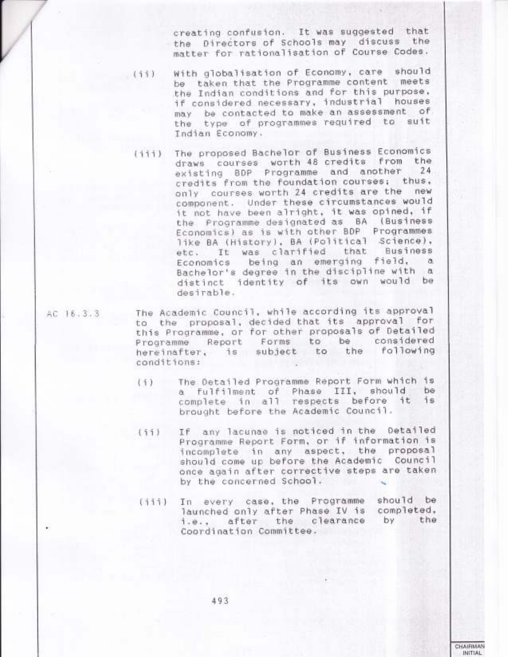creating confusion. It was suggested that the Directors of Schools may discuss the matter for rationalisation of Course Codes.

- With globalisation of Economy, care should  $(11)$ be taken that the Programme content meets the Indian conditions and for this purpose. if considered necessary, industrial houses may be contacted to make an assessment of the type of programmes required to suit Indian Economy.
	- The proposed Bachelor of Business Economics  $(111)$ draws courses worth 48 credits from the existing BDP Programme and another 24 credits from the foundation courses; thus, only courses worth 24 credits are the new component. Under these circumstances would it not have been alright, it was opined, if the Programme designated as BA (Business Economics) as is with other BDP Programmes like BA (History), BA (Political Science), etc. It was clarified that Business Economics being an emerging field, a Bachelor's degree in the discipline with a distinct identity of its own would be desirable.
- AC 16.3.3

The Academic Council, while according its approval to the proposal, decided that its approval for this Programme, or for other proposals of Detailed Programme Report Forms to be considered hereinafter, is subject to the following conditions:

- The Detailed Programme Report Form which is  $(1)$ a fulfilment of Phase III, should be complete in all respects before it is brought before the Academic Council.
- If any lacunae is noticed in the Detailed  $(11)$ Programme Report Form, or if information is incomplete in any aspect, the proposal should come up before the Academic Council once again after corrective steps are taken by the concerned School.
- In every case, the Programme should be  $(111)$ launched only after Phase IV is completed, by after the clearance the  $1.8.1$ Coordination Committee.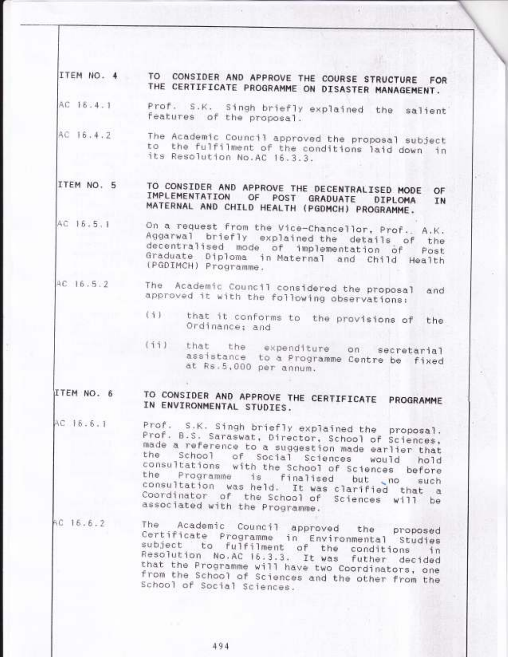- TO CONSIDER AND APPROVE THE COURSE STRUCTURE FOR ITEM NO. 4 THE CERTIFICATE PROGRAMME ON DISASTER MANAGEMENT.
- Prof. S.K. Singh briefly explained the salient AC 18.4.1 features of the proposal.
- AC 16.4.2 The Academic Council approved the proposal subject to the fulfilment of the conditions laid down in its Resolution No.AC 16.3.3.

TO CONSIDER AND APPROVE THE DECENTRALISED MODE ITEM NO. 5 OF IMPLEMENTATION OF POST GRADUATE DIPLOMA IN MATERNAL AND CHILD HEALTH (PGDMCH) PROGRAMME.

- AC 16.5.1 On a request from the Vice-Chancellor, Prof.. A.K. Aggarwal briefly explained the details of the decentralised mode of implementation of Post Graduate Diploma in Maternal and Child Health (PGDIMCH) Programme.
- The Academic Council considered the proposal AC 16.5.2 and approved it with the following observations:
	- (i) that it conforms to the provisions of the Ordinance: and
	- $(11)$ that the expenditure on secretarial assistance to a Programme Centre be fixed at Rs.5,000 per annum.

## TO CONSIDER AND APPROVE THE CERTIFICATE PROGRAMME ITEM NO. 6 IN ENVIRONMENTAL STUDIES.

- AC 16.6.1 Prof. S.K. Singh briefly explained the proposal. Prof. B.S. Saraswat, Director, School of Sciences, made a reference to a suggestion made earlier that School of Social Sciences the would hold consultations with the School of Sciences before Programme is finalised but no such the consultation was held. It was clarified that a Coordinator of the School of Sciences will be associated with the Programme.
- AC 16.6.2 The Academic Council approved the proposed Certificate Programme in Environmental Studies subject to fulfilment of the conditions<br>Resolution No.AC 16.3.3. It was futher deci ี่ 1 ก futher decided that the Programme will have two Coordinators, one from the School of Sciences and the other from the School of Social Sciences.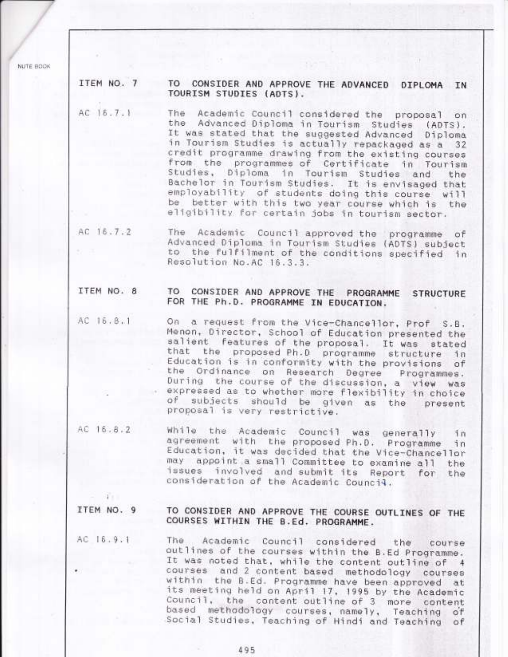NUTE BOOK

ITEM NO. 7

 $\mathbf{r}$ 

# TO CONSIDER AND APPROVE THE ADVANCED DIPLOMA IN TOURISM STUDIES (ADTS).

The Academic Council considered the proposal on AC 16.7.1 the Advanced Diploma in Tourism Studies  $(ADTS)$ . It was stated that the suggested Advanced Diploma in Tourism Studies is actually repackaged as a 32 credit programme drawing from the existing courses from the programmes of Certificate in Tourism Studies, Diploma in Tourism Studies and the Bachelor in Tourism Studies. It is envisaged that employability of students doing this course  $w111$ be better with this two year course which is the eligibility for certain jobs in tourism sector.

AC 16.7.2 The Academic Council approved the programme of Advanced Diploma in Tourism Studies (ADTS) subject to the fulfilment of the conditions specified in Resolution No.AC 16.3.3.

#### ITEM NO. 8 TO CONSIDER AND APPROVE THE PROGRAMME **STRUCTURE** FOR THE Ph.D. PROGRAMME IN EDUCATION.

- AC 16.8.1 On a request from the Vice-Chancellor, Prof S.B. Menon, Director, School of Education presented the salient features of the proposal. It was stated that the proposed Ph.D programme structure าึก Education is in conformity with the provisions of the Ordinance on Research Degree Programmes. During the course of the discussion, a view was expressed as to whether more flexibility in choice of subjects should be given as the present proposal is very restrictive.
- AC 16.8.2 while the Academic Council was generally in agreement with the proposed Ph.D. Programme า่ก Education, it was decided that the Vice-Chancellor may appoint a small Committee to examine all the issues involved and submit its Report for the consideration of the Academic Council.

### ITEM NO. 9 TO CONSIDER AND APPROVE THE COURSE OUTLINES OF THE COURSES WITHIN THE B.Ed. PROGRAMME.

AC 16.9.1 Academic Council considered The. the course outlines of the courses within the B.Ed Programme. It was noted that, while the content outline of 4 courses and 2 content based methodology courses within the B.Ed. Programme have been approved at its meeting held on April 17, 1995 by the Academic Council, the content outline of 3 more content based methodology courses, namely, Teaching of Social Studies, Teaching of Hindi and Teaching of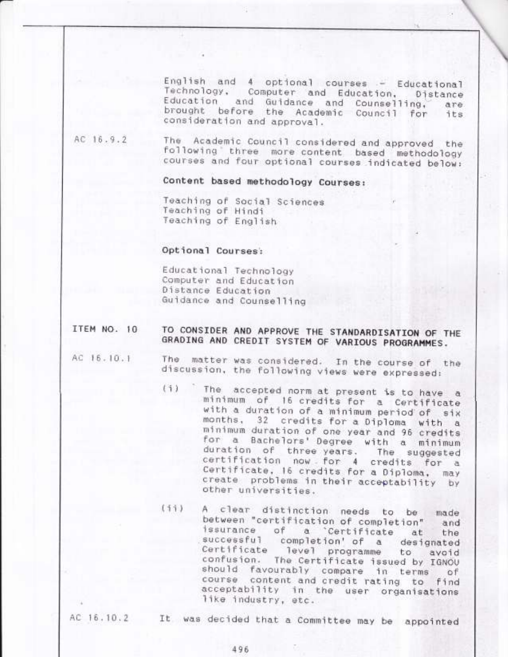English and 4 optional courses - Educational Technology, Computer and Education, Distance Education and Guidance and Counselling, are. brought before the Academic Council for its consideration and approval.

AC 16.9.2 Academic Council considered and approved The the following three more content based methodology courses and four optional courses indicated below:

Content based methodology Courses:

Teaching of Social Sciences Teaching of Hindi Teaching of English

# Optional Courses:

Educational Technology Computer and Education Distance Education Guidance and Counselling

## TO CONSIDER AND APPROVE THE STANDARDISATION OF THE ITEM NO. 10 GRADING AND CREDIT SYSTEM OF VARIOUS PROGRAMMES.

- AC 16.10.1
- matter was considered. In the course of the The discussion, the following views were expressed:
- The accepted norm at present is to have a  $(1)$ minimum of 16 credits for a Certificate with a duration of a minimum period of six months, 32 credits for a Diploma with a minimum duration of one year and 96 credits for a Bachelors' Degree with a minimum duration of three years. The suggested certification now for 4 credits for a Certificate, 16 credits for a Diploma, may create problems in their acceptability by other universities.
- $(11)$ A clear distinction needs to be made between "certification of completion" and issurance of a Certificate at the successful completion' of a designated Certificate level programme avoid to confusion. The Certificate issued by IGNOU should favourably compare in terms of course content and credit rating to find acceptability in the user organisations like industry, etc.

AC 16.10.2

It was decided that a Committee may be appointed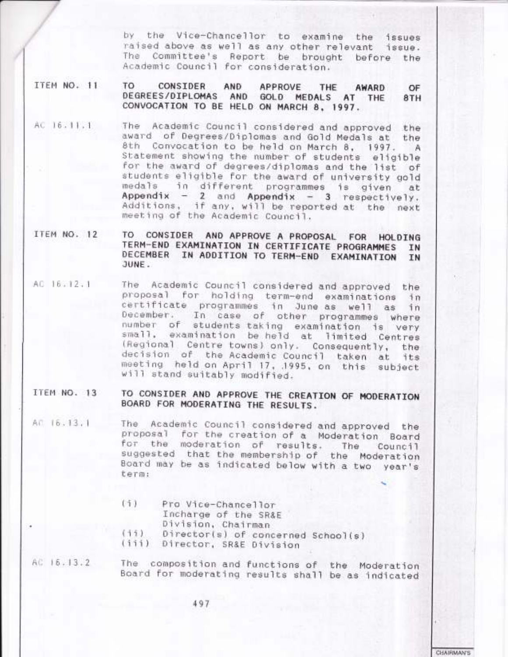by the Vice-Chancellor to examine the issues raised above as well as any other relevant issue. The Committee's Report be brought before the Academic Council for consideration.

ITEM NO. 11

TO CONSIDER AND APPROVE THE AWARD OF DEGREES/DIPLOMAS AND GOLD MEDALS AT THE 8TH CONVOCATION TO BE HELD ON MARCH 8, 1997.

- The Academic Council considered and approved the AC 16.11.1 award of Degrees/Diplomas and Gold Medals at the Convocation to be held on March 8, 1997. 8th A Statement showing the number of students eligible for the award of degrees/diplomas and the list of students eligible for the award of university gold medals in different programmes is given at<br>Appendix - 2 and Appendix - 3 respectively. Additions, if any, will be reported at the next meeting of the Academic Council.
- ITEM NO. 12 TO CONSIDER AND APPROVE A PROPOSAL FOR HOLDING TERM-END EXAMINATION IN CERTIFICATE PROGRAMMES IN DECEMBER IN ADDITION TO TERM-END EXAMINATION IN JUNE.
- AC 16.12.1 The Academic Council considered and approved the proposal for holding term-end examinations in certificate programmes in June as well as in<br>December. In case of other programmes where number of students taking examination is very small, examination be held at limited Centres (Regional Centre towns) only. Consequently, the decision of the Academic Council taken at its meeting held on April 17, 1995, on this subject will stand suitably modified.
- TO CONSIDER AND APPROVE THE CREATION OF MODERATION ITEM NO. 13 BOARD FOR MODERATING THE RESULTS.
- The Academic Council considered and approved the AC 16.13.1 proposal for the creation of a Moderation Board for the moderation of results. The Council suggested that the membership of the Moderation Board may be as indicated below with a two year's term:
	- Pro Vice-Chancellor  $(1)$ Incharge of the SR&E Division, Chairman  $(11)$ Director(s) of concerned School(s)
	- (iii) Director, SR&E Division
- AC 15.13.2 The composition and functions of the Moderation Board for moderating results shall be as indicated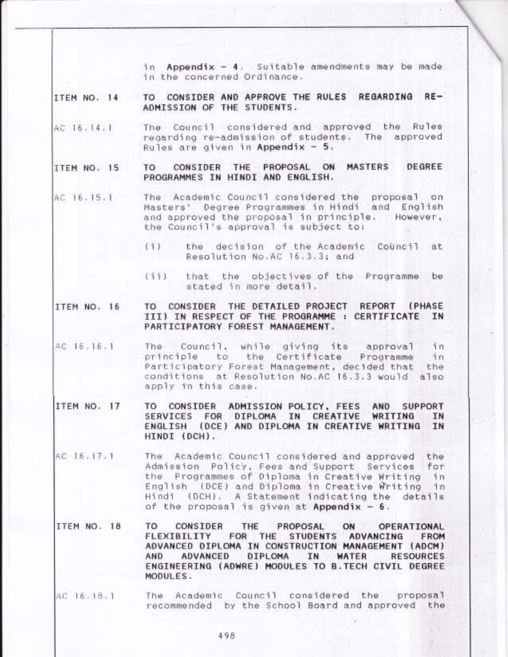in Appendix - 4. Suitable amendments may be made in the concerned Ordinance.

TO CONSIDER AND APPROVE THE RULES REGARDING RE-ITEM NO. 14 ADMISSION OF THE STUDENTS.

The Council considered and approved the Rules AC 16.14.1 regarding re-admission of students. The approved Rules are given in Appendix - 5.

CONSIDER THE PROPOSAL ON MASTERS DEGREE ITEM NO. 15 TO. PROGRAMMES IN HINDI AND ENGLISH.

- The Academic Council considered the AC 16.15.1 proposal on Masters' Degree Programmes in Hindi and English and approved the proposal in principle. However, the Council's approval is subject to:
	- the decision of the Academic Council  $(1)$ at Resolution No.AC 16.3.3; and
	- $(11)$ that the objectives of the Programme be: stated in more detail.

#### CONSIDER THE DETAILED PROJECT REPORT (PHASE ITEM NO. 16 TO III) IN RESPECT OF THE PROGRAMME : CERTIFICATE IN PARTICIPATORY FOREST MANAGEMENT.

- AC 16.16.1 Council, while giving its The: approval in the Certificate principle to Programme  $in$ Participatory Forest Management, decided that the conditions at Resolution No.AC 16.3.3 would also apply in this case.
- ITEM NO. 17 TO CONSIDER ADMISSION POLICY, FEES AND **SUPPORT** DIPLOMA IN CREATIVE SERVICES FOR WRITING IN ENGLISH (DCE) AND DIPLOMA IN CREATIVE WRITING IN HINDI (DCH).
- AC 16.17.1 The Academic Council considered and approved the Admission Policy, Fees and Support Services for Programmes of Diploma in Creative Writing in the English (DCE) and Diploma in Creative Writing in Hindi (DCH). A Statement indicating the details of the proposal is given at Appendix  $-6$ .
- ITEM NO. 18 TO. CONSIDER PROPOSAL THE ON OPERATIONAL FLEXIBILITY **STUDENTS** ADVANCING **FOR** THE **FROM** ADVANCED DIPLOMA IN CONSTRUCTION MANAGEMENT (ADCM) **AND ADVANCED** DIPLOMA IN WATER **RESOURCES** ENGINEERING (ADWRE) MODULES TO B. TECH CIVIL DEGREE MODULES.
- The Academic Council considered the proposal AC 16.18.1 recommended by the School Board and approved the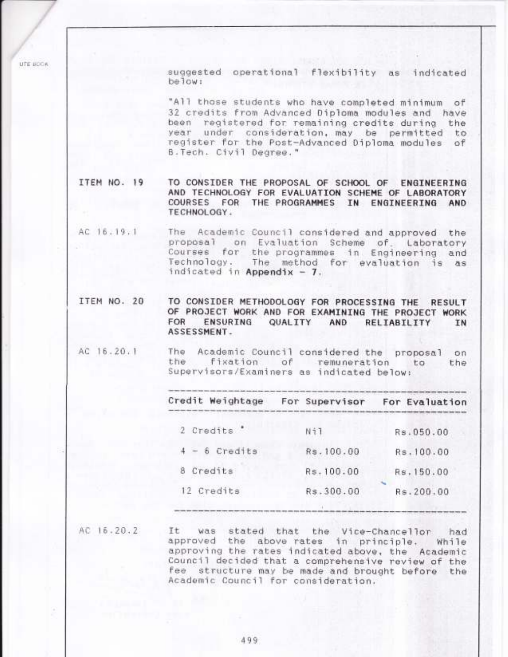suggested operational flexibility as indicated below:

"All those students who have completed minimum of 32 credits from Advanced Diploma modules and have been registered for remaining credits during the year under consideration, may be permitted to register for the Post-Advanced Diploma modules of B. Tech. Civil Degree."

ITEM NO. 19 TO CONSIDER THE PROPOSAL OF SCHOOL OF ENGINEERING AND TECHNOLOGY FOR EVALUATION SCHEME OF LABORATORY COURSES FOR THE PROGRAMMES IN ENGINEERING AND TECHNOLOGY.

The Academic Council considered and approved the AC 16.19.1 proposal on Evaluation Scheme of Laboratory Courses for the programmes in Engineering and The method for evaluation is as Technology. indicated in Appendix - 7.

ITEM NO. 20 TO CONSIDER METHODOLOGY FOR PROCESSING THE **RESULT** OF PROJECT WORK AND FOR EXAMINING THE PROJECT WORK FOR **ENSURING** QUALITY AND RELIABILITY IN ASSESSMENT.

AC 16.20.1 The Academic Council considered the proposal on the fixation of remuneration to the Supervisors/Examiners as indicated below:

| Credit Weightage | For Supervisor | For Evaluation |
|------------------|----------------|----------------|
| 2 Credits '      | Ni1            | Rs.050.00      |
| $4 - 6$ Credits  | Rs.100.00      | Rs.100.00      |
| Credits<br>8     | Rs.100.00      | Rs.150.00      |
| 12 Credits       | Rs.300.00      | Rs.200.00      |
|                  |                |                |

AC 16.20.2

UTE UDOR

Īt was stated that the Vice-Chancellor had approved the above rates in principle. While approving the rates indicated above, the Academic Council decided that a comprehensive review of the fee structure may be made and brought before the Academic Council for consideration.